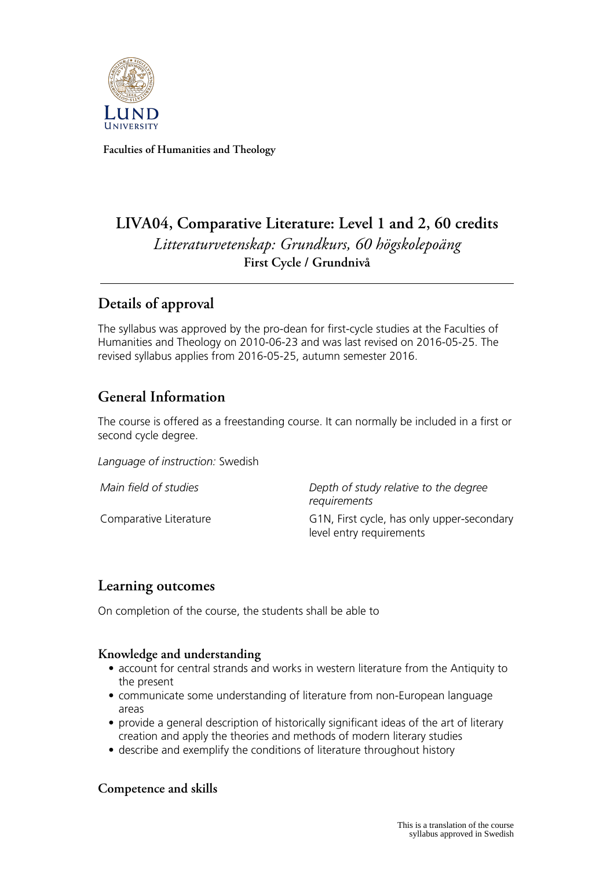

**Faculties of Humanities and Theology**

# **LIVA04, Comparative Literature: Level 1 and 2, 60 credits** *Litteraturvetenskap: Grundkurs, 60 högskolepoäng* **First Cycle / Grundnivå**

## **Details of approval**

The syllabus was approved by the pro-dean for first-cycle studies at the Faculties of Humanities and Theology on 2010-06-23 and was last revised on 2016-05-25. The revised syllabus applies from 2016-05-25, autumn semester 2016.

## **General Information**

The course is offered as a freestanding course. It can normally be included in a first or second cycle degree.

*Language of instruction:* Swedish

*Main field of studies Depth of study relative to the degree requirements* Comparative Literature **G1N, First cycle, has only upper-secondary** level entry requirements

## **Learning outcomes**

On completion of the course, the students shall be able to

### **Knowledge and understanding**

- account for central strands and works in western literature from the Antiquity to the present
- communicate some understanding of literature from non-European language areas
- provide a general description of historically significant ideas of the art of literary creation and apply the theories and methods of modern literary studies
- describe and exemplify the conditions of literature throughout history

## **Competence and skills**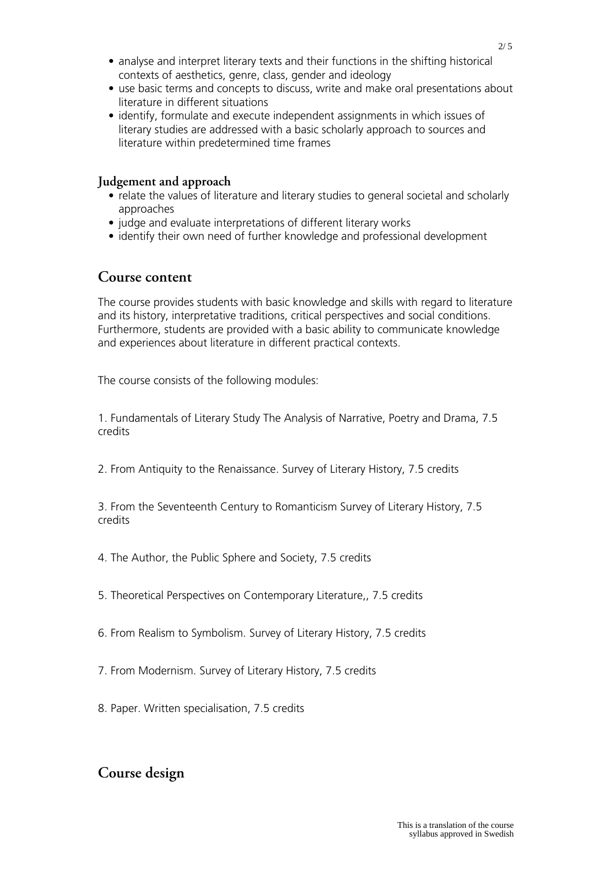- analyse and interpret literary texts and their functions in the shifting historical contexts of aesthetics, genre, class, gender and ideology
- use basic terms and concepts to discuss, write and make oral presentations about literature in different situations
- identify, formulate and execute independent assignments in which issues of literary studies are addressed with a basic scholarly approach to sources and literature within predetermined time frames

#### **Judgement and approach**

- relate the values of literature and literary studies to general societal and scholarly approaches
- judge and evaluate interpretations of different literary works
- identify their own need of further knowledge and professional development

### **Course content**

The course provides students with basic knowledge and skills with regard to literature and its history, interpretative traditions, critical perspectives and social conditions. Furthermore, students are provided with a basic ability to communicate knowledge and experiences about literature in different practical contexts.

The course consists of the following modules:

1. Fundamentals of Literary Study The Analysis of Narrative, Poetry and Drama, 7.5 credits

2. From Antiquity to the Renaissance. Survey of Literary History, 7.5 credits

3. From the Seventeenth Century to Romanticism Survey of Literary History, 7.5 credits

- 4. The Author, the Public Sphere and Society, 7.5 credits
- 5. Theoretical Perspectives on Contemporary Literature,, 7.5 credits
- 6. From Realism to Symbolism. Survey of Literary History, 7.5 credits
- 7. From Modernism. Survey of Literary History, 7.5 credits
- 8. Paper. Written specialisation, 7.5 credits

## **Course design**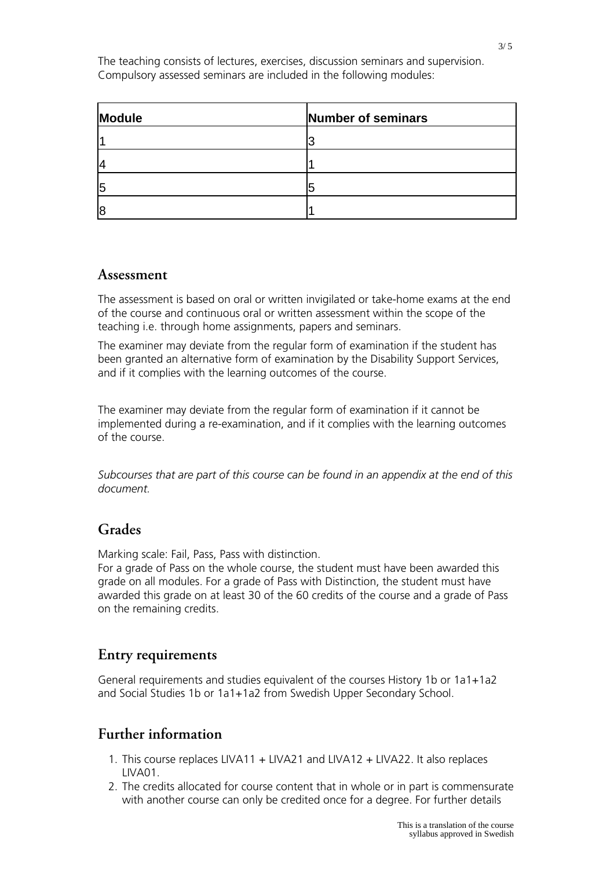The teaching consists of lectures, exercises, discussion seminars and supervision. Compulsory assessed seminars are included in the following modules:

| Module | Number of seminars |
|--------|--------------------|
|        |                    |
|        |                    |
| 15     |                    |
| 18     |                    |

### **Assessment**

The assessment is based on oral or written invigilated or take-home exams at the end of the course and continuous oral or written assessment within the scope of the teaching i.e. through home assignments, papers and seminars.

The examiner may deviate from the regular form of examination if the student has been granted an alternative form of examination by the Disability Support Services, and if it complies with the learning outcomes of the course.

The examiner may deviate from the regular form of examination if it cannot be implemented during a re-examination, and if it complies with the learning outcomes of the course.

*Subcourses that are part of this course can be found in an appendix at the end of this document.*

## **Grades**

Marking scale: Fail, Pass, Pass with distinction.

For a grade of Pass on the whole course, the student must have been awarded this grade on all modules. For a grade of Pass with Distinction, the student must have awarded this grade on at least 30 of the 60 credits of the course and a grade of Pass on the remaining credits.

## **Entry requirements**

General requirements and studies equivalent of the courses History 1b or 1a1+1a2 and Social Studies 1b or 1a1+1a2 from Swedish Upper Secondary School.

## **Further information**

- 1. This course replaces LIVA11 + LIVA21 and LIVA12 + LIVA22. It also replaces LIVA01.
- 2. The credits allocated for course content that in whole or in part is commensurate with another course can only be credited once for a degree. For further details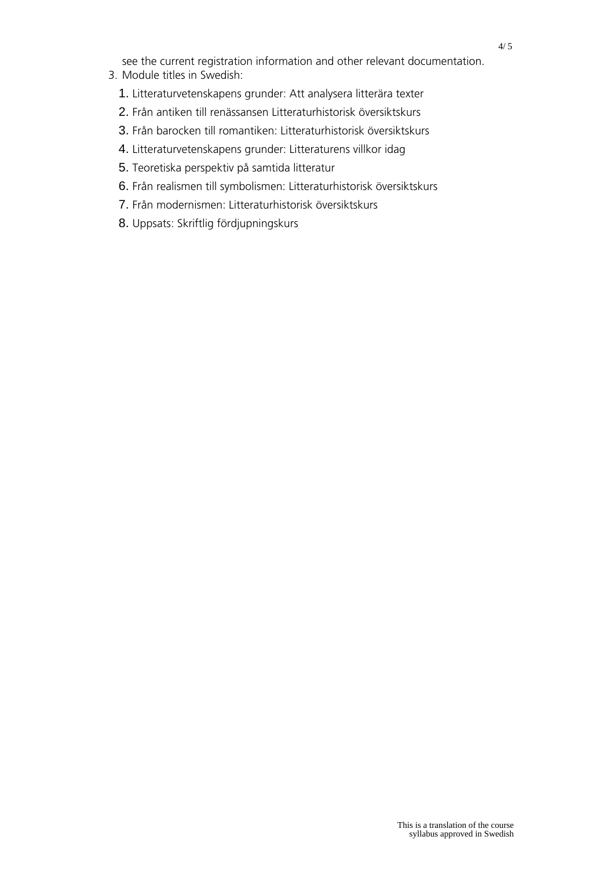see the current registration information and other relevant documentation.

- 3. Module titles in Swedish:
	- 1. Litteraturvetenskapens grunder: Att analysera litterära texter
	- 2. Från antiken till renässansen Litteraturhistorisk översiktskurs
	- 3. Från barocken till romantiken: Litteraturhistorisk översiktskurs
	- 4. Litteraturvetenskapens grunder: Litteraturens villkor idag
	- 5. Teoretiska perspektiv på samtida litteratur
	- 6. Från realismen till symbolismen: Litteraturhistorisk översiktskurs
	- 7. Från modernismen: Litteraturhistorisk översiktskurs
	- 8. Uppsats: Skriftlig fördjupningskurs